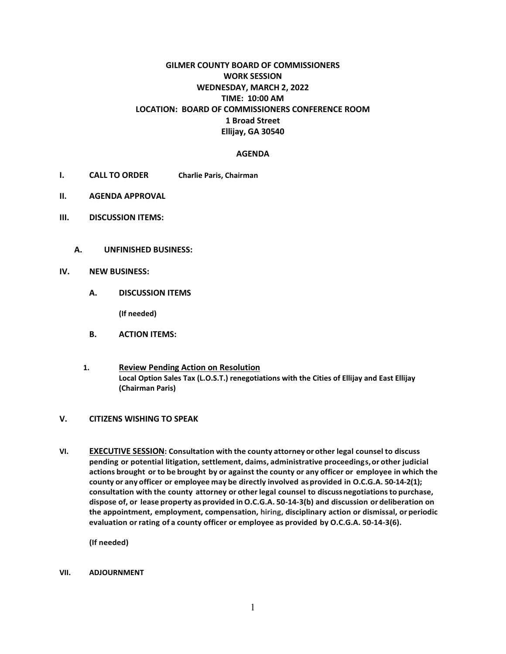## **GILMER COUNTY BOARD OF COMMISSIONERS WORK SESSION WEDNESDAY, MARCH 2, 2022 TIME: 10:00 AM LOCATION: BOARD OF COMMISSIONERS CONFERENCE ROOM 1 Broad Street Ellijay, GA 30540**

## **AGENDA**

- **I. CALL TO ORDER Charlie Paris, Chairman**
- **II. AGENDA APPROVAL**
- **III. DISCUSSION ITEMS:**
	- **A. UNFINISHED BUSINESS:**

## **IV. NEW BUSINESS:**

**A. DISCUSSION ITEMS**

**(If needed)**

- **B. ACTION ITEMS:**
- **1. Review Pending Action on Resolution Local Option Sales Tax (L.O.S.T.) renegotiations with the Cities of Ellijay and East Ellijay (Chairman Paris)**

## **V. CITIZENS WISHING TO SPEAK**

**VI. EXECUTIVE SESSION: Consultation with the county attorney or other legal counsel to discuss pending or potential litigation, settlement, claims, administrative proceedings,or other judicial actions brought or to be brought by or against the county or any officer or employee in which the county or any officer or employee may be directly involved asprovided in O.C.G.A. 50-14-2(1); consultation with the county attorney or otherlegal counsel to discussnegotiationsto purchase, dispose of, or lease property asprovided inO.C.G.A. 50-14-3(b) and discussion or deliberation on the appointment, employment, compensation, hiring, disciplinary action or dismissal, or periodic evaluation orrating of a county officer or employee as provided by O.C.G.A. 50-14-3(6).**

**(If needed)**

**VII. ADJOURNMENT**